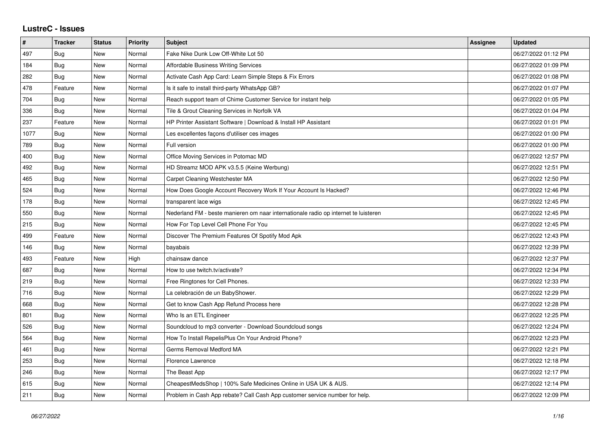## **LustreC - Issues**

| $\sharp$ | <b>Tracker</b> | <b>Status</b> | <b>Priority</b> | <b>Subject</b>                                                                      | Assignee | <b>Updated</b>      |
|----------|----------------|---------------|-----------------|-------------------------------------------------------------------------------------|----------|---------------------|
| 497      | <b>Bug</b>     | New           | Normal          | Fake Nike Dunk Low Off-White Lot 50                                                 |          | 06/27/2022 01:12 PM |
| 184      | Bug            | New           | Normal          | <b>Affordable Business Writing Services</b>                                         |          | 06/27/2022 01:09 PM |
| 282      | Bug            | <b>New</b>    | Normal          | Activate Cash App Card: Learn Simple Steps & Fix Errors                             |          | 06/27/2022 01:08 PM |
| 478      | Feature        | New           | Normal          | Is it safe to install third-party WhatsApp GB?                                      |          | 06/27/2022 01:07 PM |
| 704      | Bug            | New           | Normal          | Reach support team of Chime Customer Service for instant help                       |          | 06/27/2022 01:05 PM |
| 336      | <b>Bug</b>     | New           | Normal          | Tile & Grout Cleaning Services in Norfolk VA                                        |          | 06/27/2022 01:04 PM |
| 237      | Feature        | New           | Normal          | HP Printer Assistant Software   Download & Install HP Assistant                     |          | 06/27/2022 01:01 PM |
| 1077     | Bug            | <b>New</b>    | Normal          | Les excellentes façons d'utiliser ces images                                        |          | 06/27/2022 01:00 PM |
| 789      | Bug            | New           | Normal          | Full version                                                                        |          | 06/27/2022 01:00 PM |
| 400      | Bug            | <b>New</b>    | Normal          | Office Moving Services in Potomac MD                                                |          | 06/27/2022 12:57 PM |
| 492      | Bug            | <b>New</b>    | Normal          | HD Streamz MOD APK v3.5.5 (Keine Werbung)                                           |          | 06/27/2022 12:51 PM |
| 465      | Bug            | New           | Normal          | Carpet Cleaning Westchester MA                                                      |          | 06/27/2022 12:50 PM |
| 524      | Bug            | <b>New</b>    | Normal          | How Does Google Account Recovery Work If Your Account Is Hacked?                    |          | 06/27/2022 12:46 PM |
| 178      | Bug            | <b>New</b>    | Normal          | transparent lace wigs                                                               |          | 06/27/2022 12:45 PM |
| 550      | Bug            | New           | Normal          | Nederland FM - beste manieren om naar internationale radio op internet te luisteren |          | 06/27/2022 12:45 PM |
| 215      | Bug            | New           | Normal          | How For Top Level Cell Phone For You                                                |          | 06/27/2022 12:45 PM |
| 499      | Feature        | <b>New</b>    | Normal          | Discover The Premium Features Of Spotify Mod Apk                                    |          | 06/27/2022 12:43 PM |
| 146      | Bug            | New           | Normal          | bayabais                                                                            |          | 06/27/2022 12:39 PM |
| 493      | Feature        | <b>New</b>    | High            | chainsaw dance                                                                      |          | 06/27/2022 12:37 PM |
| 687      | Bug            | New           | Normal          | How to use twitch.tv/activate?                                                      |          | 06/27/2022 12:34 PM |
| 219      | Bug            | New           | Normal          | Free Ringtones for Cell Phones.                                                     |          | 06/27/2022 12:33 PM |
| 716      | Bug            | <b>New</b>    | Normal          | La celebración de un BabyShower.                                                    |          | 06/27/2022 12:29 PM |
| 668      | Bug            | New           | Normal          | Get to know Cash App Refund Process here                                            |          | 06/27/2022 12:28 PM |
| 801      | Bug            | New           | Normal          | Who Is an ETL Engineer                                                              |          | 06/27/2022 12:25 PM |
| 526      | Bug            | <b>New</b>    | Normal          | Soundcloud to mp3 converter - Download Soundcloud songs                             |          | 06/27/2022 12:24 PM |
| 564      | Bug            | <b>New</b>    | Normal          | How To Install RepelisPlus On Your Android Phone?                                   |          | 06/27/2022 12:23 PM |
| 461      | Bug            | New           | Normal          | Germs Removal Medford MA                                                            |          | 06/27/2022 12:21 PM |
| 253      | Bug            | New           | Normal          | Florence Lawrence                                                                   |          | 06/27/2022 12:18 PM |
| 246      | Bug            | New           | Normal          | The Beast App                                                                       |          | 06/27/2022 12:17 PM |
| 615      | Bug            | New           | Normal          | CheapestMedsShop   100% Safe Medicines Online in USA UK & AUS.                      |          | 06/27/2022 12:14 PM |
| 211      | Bug            | <b>New</b>    | Normal          | Problem in Cash App rebate? Call Cash App customer service number for help.         |          | 06/27/2022 12:09 PM |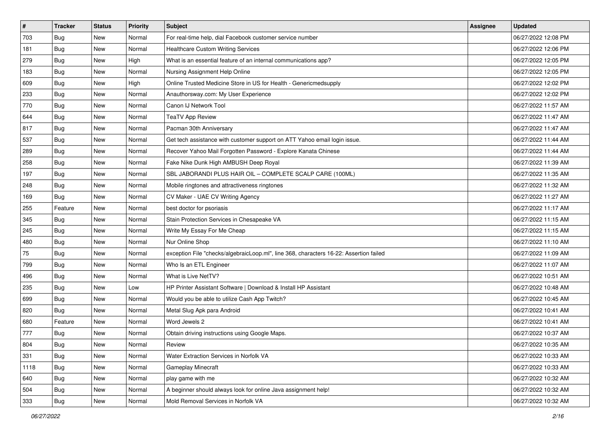| #    | <b>Tracker</b> | <b>Status</b> | <b>Priority</b> | Subject                                                                                | Assignee | <b>Updated</b>      |
|------|----------------|---------------|-----------------|----------------------------------------------------------------------------------------|----------|---------------------|
| 703  | <b>Bug</b>     | New           | Normal          | For real-time help, dial Facebook customer service number                              |          | 06/27/2022 12:08 PM |
| 181  | Bug            | New           | Normal          | <b>Healthcare Custom Writing Services</b>                                              |          | 06/27/2022 12:06 PM |
| 279  | <b>Bug</b>     | New           | High            | What is an essential feature of an internal communications app?                        |          | 06/27/2022 12:05 PM |
| 183  | <b>Bug</b>     | New           | Normal          | Nursing Assignment Help Online                                                         |          | 06/27/2022 12:05 PM |
| 609  | Bug            | New           | High            | Online Trusted Medicine Store in US for Health - Genericmedsupply                      |          | 06/27/2022 12:02 PM |
| 233  | <b>Bug</b>     | New           | Normal          | Anauthorsway.com: My User Experience                                                   |          | 06/27/2022 12:02 PM |
| 770  | <b>Bug</b>     | New           | Normal          | Canon IJ Network Tool                                                                  |          | 06/27/2022 11:57 AM |
| 644  | Bug            | New           | Normal          | <b>TeaTV App Review</b>                                                                |          | 06/27/2022 11:47 AM |
| 817  | Bug            | New           | Normal          | Pacman 30th Anniversary                                                                |          | 06/27/2022 11:47 AM |
| 537  | Bug            | New           | Normal          | Get tech assistance with customer support on ATT Yahoo email login issue.              |          | 06/27/2022 11:44 AM |
| 289  | <b>Bug</b>     | New           | Normal          | Recover Yahoo Mail Forgotten Password - Explore Kanata Chinese                         |          | 06/27/2022 11:44 AM |
| 258  | <b>Bug</b>     | New           | Normal          | Fake Nike Dunk High AMBUSH Deep Royal                                                  |          | 06/27/2022 11:39 AM |
| 197  | Bug            | New           | Normal          | SBL JABORANDI PLUS HAIR OIL - COMPLETE SCALP CARE (100ML)                              |          | 06/27/2022 11:35 AM |
| 248  | <b>Bug</b>     | New           | Normal          | Mobile ringtones and attractiveness ringtones                                          |          | 06/27/2022 11:32 AM |
| 169  | <b>Bug</b>     | New           | Normal          | CV Maker - UAE CV Writing Agency                                                       |          | 06/27/2022 11:27 AM |
| 255  | Feature        | New           | Normal          | best doctor for psoriasis                                                              |          | 06/27/2022 11:17 AM |
| 345  | <b>Bug</b>     | New           | Normal          | Stain Protection Services in Chesapeake VA                                             |          | 06/27/2022 11:15 AM |
| 245  | Bug            | New           | Normal          | Write My Essay For Me Cheap                                                            |          | 06/27/2022 11:15 AM |
| 480  | <b>Bug</b>     | New           | Normal          | Nur Online Shop                                                                        |          | 06/27/2022 11:10 AM |
| 75   | Bug            | New           | Normal          | exception File "checks/algebraicLoop.ml", line 368, characters 16-22: Assertion failed |          | 06/27/2022 11:09 AM |
| 799  | <b>Bug</b>     | New           | Normal          | Who Is an ETL Engineer                                                                 |          | 06/27/2022 11:07 AM |
| 496  | <b>Bug</b>     | New           | Normal          | What is Live NetTV?                                                                    |          | 06/27/2022 10:51 AM |
| 235  | Bug            | New           | Low             | HP Printer Assistant Software   Download & Install HP Assistant                        |          | 06/27/2022 10:48 AM |
| 699  | <b>Bug</b>     | New           | Normal          | Would you be able to utilize Cash App Twitch?                                          |          | 06/27/2022 10:45 AM |
| 820  | <b>Bug</b>     | New           | Normal          | Metal Slug Apk para Android                                                            |          | 06/27/2022 10:41 AM |
| 680  | Feature        | New           | Normal          | Word Jewels 2                                                                          |          | 06/27/2022 10:41 AM |
| 777  | <b>Bug</b>     | New           | Normal          | Obtain driving instructions using Google Maps.                                         |          | 06/27/2022 10:37 AM |
| 804  | <b>Bug</b>     | New           | Normal          | Review                                                                                 |          | 06/27/2022 10:35 AM |
| 331  | <b>Bug</b>     | New           | Normal          | Water Extraction Services in Norfolk VA                                                |          | 06/27/2022 10:33 AM |
| 1118 | <b>Bug</b>     | New           | Normal          | Gameplay Minecraft                                                                     |          | 06/27/2022 10:33 AM |
| 640  | Bug            | New           | Normal          | play game with me                                                                      |          | 06/27/2022 10:32 AM |
| 504  | <b>Bug</b>     | New           | Normal          | A beginner should always look for online Java assignment help!                         |          | 06/27/2022 10:32 AM |
| 333  | <b>Bug</b>     | New           | Normal          | Mold Removal Services in Norfolk VA                                                    |          | 06/27/2022 10:32 AM |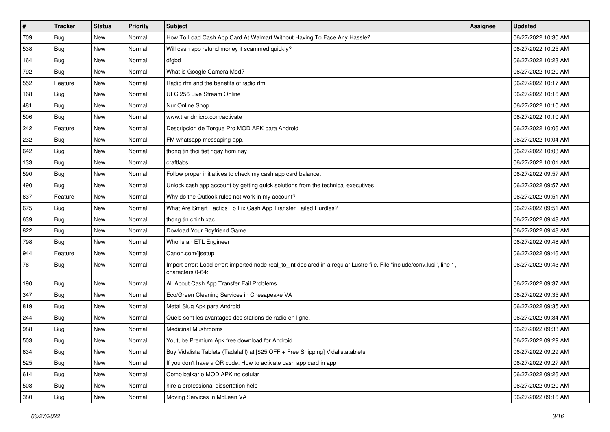| $\vert$ # | <b>Tracker</b> | <b>Status</b> | <b>Priority</b> | Subject                                                                                                                                      | Assignee | <b>Updated</b>      |
|-----------|----------------|---------------|-----------------|----------------------------------------------------------------------------------------------------------------------------------------------|----------|---------------------|
| 709       | <b>Bug</b>     | New           | Normal          | How To Load Cash App Card At Walmart Without Having To Face Any Hassle?                                                                      |          | 06/27/2022 10:30 AM |
| 538       | Bug            | New           | Normal          | Will cash app refund money if scammed quickly?                                                                                               |          | 06/27/2022 10:25 AM |
| 164       | Bug            | New           | Normal          | dfgbd                                                                                                                                        |          | 06/27/2022 10:23 AM |
| 792       | <b>Bug</b>     | New           | Normal          | What is Google Camera Mod?                                                                                                                   |          | 06/27/2022 10:20 AM |
| 552       | Feature        | <b>New</b>    | Normal          | Radio rfm and the benefits of radio rfm                                                                                                      |          | 06/27/2022 10:17 AM |
| 168       | Bug            | New           | Normal          | UFC 256 Live Stream Online                                                                                                                   |          | 06/27/2022 10:16 AM |
| 481       | <b>Bug</b>     | New           | Normal          | Nur Online Shop                                                                                                                              |          | 06/27/2022 10:10 AM |
| 506       | Bug            | <b>New</b>    | Normal          | www.trendmicro.com/activate                                                                                                                  |          | 06/27/2022 10:10 AM |
| 242       | Feature        | New           | Normal          | Descripción de Torque Pro MOD APK para Android                                                                                               |          | 06/27/2022 10:06 AM |
| 232       | Bug            | <b>New</b>    | Normal          | FM whatsapp messaging app.                                                                                                                   |          | 06/27/2022 10:04 AM |
| 642       | <b>Bug</b>     | New           | Normal          | thong tin thoi tiet ngay hom nay                                                                                                             |          | 06/27/2022 10:03 AM |
| 133       | <b>Bug</b>     | New           | Normal          | craftlabs                                                                                                                                    |          | 06/27/2022 10:01 AM |
| 590       | Bug            | New           | Normal          | Follow proper initiatives to check my cash app card balance:                                                                                 |          | 06/27/2022 09:57 AM |
| 490       | <b>Bug</b>     | New           | Normal          | Unlock cash app account by getting quick solutions from the technical executives                                                             |          | 06/27/2022 09:57 AM |
| 637       | Feature        | New           | Normal          | Why do the Outlook rules not work in my account?                                                                                             |          | 06/27/2022 09:51 AM |
| 675       | Bug            | New           | Normal          | What Are Smart Tactics To Fix Cash App Transfer Failed Hurdles?                                                                              |          | 06/27/2022 09:51 AM |
| 639       | <b>Bug</b>     | New           | Normal          | thong tin chinh xac                                                                                                                          |          | 06/27/2022 09:48 AM |
| 822       | Bug            | New           | Normal          | Dowload Your Boyfriend Game                                                                                                                  |          | 06/27/2022 09:48 AM |
| 798       | Bug            | New           | Normal          | Who Is an ETL Engineer                                                                                                                       |          | 06/27/2022 09:48 AM |
| 944       | Feature        | New           | Normal          | Canon.com/ijsetup                                                                                                                            |          | 06/27/2022 09:46 AM |
| 76        | <b>Bug</b>     | New           | Normal          | Import error: Load error: imported node real_to_int declared in a regular Lustre file. File "include/conv.lusi", line 1,<br>characters 0-64: |          | 06/27/2022 09:43 AM |
| 190       | Bug            | New           | Normal          | All About Cash App Transfer Fail Problems                                                                                                    |          | 06/27/2022 09:37 AM |
| 347       | Bug            | New           | Normal          | Eco/Green Cleaning Services in Chesapeake VA                                                                                                 |          | 06/27/2022 09:35 AM |
| 819       | <b>Bug</b>     | New           | Normal          | Metal Slug Apk para Android                                                                                                                  |          | 06/27/2022 09:35 AM |
| 244       | Bug            | New           | Normal          | Quels sont les avantages des stations de radio en ligne.                                                                                     |          | 06/27/2022 09:34 AM |
| 988       | <b>Bug</b>     | New           | Normal          | <b>Medicinal Mushrooms</b>                                                                                                                   |          | 06/27/2022 09:33 AM |
| 503       | Bug            | New           | Normal          | Youtube Premium Apk free download for Android                                                                                                |          | 06/27/2022 09:29 AM |
| 634       | Bug            | New           | Normal          | Buy Vidalista Tablets (Tadalafil) at [\$25 OFF + Free Shipping] Vidalistatablets                                                             |          | 06/27/2022 09:29 AM |
| 525       | Bug            | New           | Normal          | If you don't have a QR code: How to activate cash app card in app                                                                            |          | 06/27/2022 09:27 AM |
| 614       | Bug            | New           | Normal          | Como baixar o MOD APK no celular                                                                                                             |          | 06/27/2022 09:26 AM |
| 508       | <b>Bug</b>     | New           | Normal          | hire a professional dissertation help                                                                                                        |          | 06/27/2022 09:20 AM |
| 380       | <b>Bug</b>     | New           | Normal          | Moving Services in McLean VA                                                                                                                 |          | 06/27/2022 09:16 AM |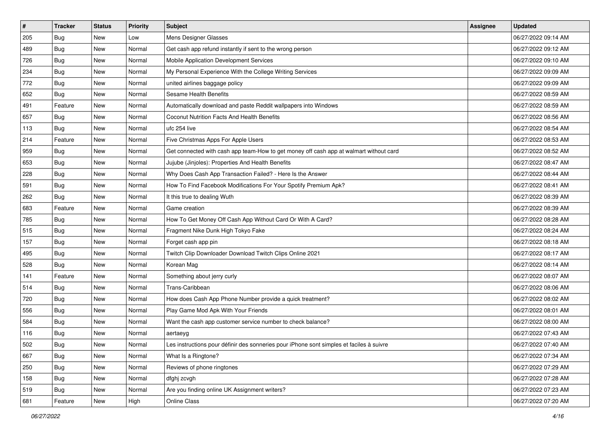| $\vert$ # | <b>Tracker</b> | <b>Status</b> | <b>Priority</b> | <b>Subject</b>                                                                           | <b>Assignee</b> | <b>Updated</b>      |
|-----------|----------------|---------------|-----------------|------------------------------------------------------------------------------------------|-----------------|---------------------|
| 205       | <b>Bug</b>     | New           | Low             | Mens Designer Glasses                                                                    |                 | 06/27/2022 09:14 AM |
| 489       | Bug            | New           | Normal          | Get cash app refund instantly if sent to the wrong person                                |                 | 06/27/2022 09:12 AM |
| 726       | <b>Bug</b>     | New           | Normal          | Mobile Application Development Services                                                  |                 | 06/27/2022 09:10 AM |
| 234       | <b>Bug</b>     | New           | Normal          | My Personal Experience With the College Writing Services                                 |                 | 06/27/2022 09:09 AM |
| 772       | <b>Bug</b>     | <b>New</b>    | Normal          | united airlines baggage policy                                                           |                 | 06/27/2022 09:09 AM |
| 652       | Bug            | New           | Normal          | Sesame Health Benefits                                                                   |                 | 06/27/2022 08:59 AM |
| 491       | Feature        | New           | Normal          | Automatically download and paste Reddit wallpapers into Windows                          |                 | 06/27/2022 08:59 AM |
| 657       | Bug            | New           | Normal          | Coconut Nutrition Facts And Health Benefits                                              |                 | 06/27/2022 08:56 AM |
| 113       | Bug            | New           | Normal          | ufc 254 live                                                                             |                 | 06/27/2022 08:54 AM |
| 214       | Feature        | New           | Normal          | Five Christmas Apps For Apple Users                                                      |                 | 06/27/2022 08:53 AM |
| 959       | Bug            | New           | Normal          | Get connected with cash app team-How to get money off cash app at walmart without card   |                 | 06/27/2022 08:52 AM |
| 653       | <b>Bug</b>     | New           | Normal          | Jujube (Jinjoles): Properties And Health Benefits                                        |                 | 06/27/2022 08:47 AM |
| 228       | Bug            | New           | Normal          | Why Does Cash App Transaction Failed? - Here Is the Answer                               |                 | 06/27/2022 08:44 AM |
| 591       | <b>Bug</b>     | New           | Normal          | How To Find Facebook Modifications For Your Spotify Premium Apk?                         |                 | 06/27/2022 08:41 AM |
| 262       | Bug            | New           | Normal          | It this true to dealing Wuth                                                             |                 | 06/27/2022 08:39 AM |
| 683       | Feature        | New           | Normal          | Game creation                                                                            |                 | 06/27/2022 08:39 AM |
| 785       | Bug            | New           | Normal          | How To Get Money Off Cash App Without Card Or With A Card?                               |                 | 06/27/2022 08:28 AM |
| 515       | <b>Bug</b>     | New           | Normal          | Fragment Nike Dunk High Tokyo Fake                                                       |                 | 06/27/2022 08:24 AM |
| 157       | Bug            | New           | Normal          | Forget cash app pin                                                                      |                 | 06/27/2022 08:18 AM |
| 495       | <b>Bug</b>     | New           | Normal          | Twitch Clip Downloader Download Twitch Clips Online 2021                                 |                 | 06/27/2022 08:17 AM |
| 528       | Bug            | New           | Normal          | Korean Mag                                                                               |                 | 06/27/2022 08:14 AM |
| 141       | Feature        | New           | Normal          | Something about jerry curly                                                              |                 | 06/27/2022 08:07 AM |
| 514       | Bug            | New           | Normal          | Trans-Caribbean                                                                          |                 | 06/27/2022 08:06 AM |
| 720       | Bug            | New           | Normal          | How does Cash App Phone Number provide a quick treatment?                                |                 | 06/27/2022 08:02 AM |
| 556       | Bug            | New           | Normal          | Play Game Mod Apk With Your Friends                                                      |                 | 06/27/2022 08:01 AM |
| 584       | <b>Bug</b>     | New           | Normal          | Want the cash app customer service number to check balance?                              |                 | 06/27/2022 08:00 AM |
| 116       | <b>Bug</b>     | New           | Normal          | aertaeyg                                                                                 |                 | 06/27/2022 07:43 AM |
| 502       | Bug            | New           | Normal          | Les instructions pour définir des sonneries pour iPhone sont simples et faciles à suivre |                 | 06/27/2022 07:40 AM |
| 667       | <b>Bug</b>     | New           | Normal          | What Is a Ringtone?                                                                      |                 | 06/27/2022 07:34 AM |
| 250       | <b>Bug</b>     | New           | Normal          | Reviews of phone ringtones                                                               |                 | 06/27/2022 07:29 AM |
| 158       | Bug            | New           | Normal          | dfghj zcvgh                                                                              |                 | 06/27/2022 07:28 AM |
| 519       | <b>Bug</b>     | New           | Normal          | Are you finding online UK Assignment writers?                                            |                 | 06/27/2022 07:23 AM |
| 681       | Feature        | New           | High            | Online Class                                                                             |                 | 06/27/2022 07:20 AM |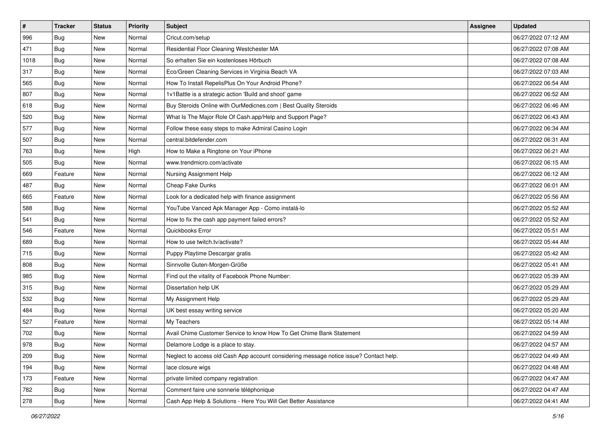| $\sharp$ | <b>Tracker</b> | <b>Status</b> | <b>Priority</b> | Subject                                                                                | <b>Assignee</b> | <b>Updated</b>      |
|----------|----------------|---------------|-----------------|----------------------------------------------------------------------------------------|-----------------|---------------------|
| 996      | <b>Bug</b>     | New           | Normal          | Cricut.com/setup                                                                       |                 | 06/27/2022 07:12 AM |
| 471      | <b>Bug</b>     | New           | Normal          | Residential Floor Cleaning Westchester MA                                              |                 | 06/27/2022 07:08 AM |
| 1018     | Bug            | New           | Normal          | So erhalten Sie ein kostenloses Hörbuch                                                |                 | 06/27/2022 07:08 AM |
| 317      | Bug            | <b>New</b>    | Normal          | Eco/Green Cleaning Services in Virginia Beach VA                                       |                 | 06/27/2022 07:03 AM |
| 565      | Bug            | New           | Normal          | How To Install RepelisPlus On Your Android Phone?                                      |                 | 06/27/2022 06:54 AM |
| 807      | <b>Bug</b>     | New           | Normal          | 1v1Battle is a strategic action 'Build and shoot' game                                 |                 | 06/27/2022 06:52 AM |
| 618      | Bug            | New           | Normal          | Buy Steroids Online with OurMedicnes.com   Best Quality Steroids                       |                 | 06/27/2022 06:46 AM |
| 520      | <b>Bug</b>     | New           | Normal          | What Is The Major Role Of Cash.app/Help and Support Page?                              |                 | 06/27/2022 06:43 AM |
| 577      | <b>Bug</b>     | New           | Normal          | Follow these easy steps to make Admiral Casino Login                                   |                 | 06/27/2022 06:34 AM |
| 507      | Bug            | New           | Normal          | central.bitdefender.com                                                                |                 | 06/27/2022 06:31 AM |
| 763      | <b>Bug</b>     | New           | High            | How to Make a Ringtone on Your iPhone                                                  |                 | 06/27/2022 06:21 AM |
| 505      | Bug            | New           | Normal          | www.trendmicro.com/activate                                                            |                 | 06/27/2022 06:15 AM |
| 669      | Feature        | New           | Normal          | Nursing Assignment Help                                                                |                 | 06/27/2022 06:12 AM |
| 487      | Bug            | New           | Normal          | Cheap Fake Dunks                                                                       |                 | 06/27/2022 06:01 AM |
| 665      | Feature        | <b>New</b>    | Normal          | Look for a dedicated help with finance assignment                                      |                 | 06/27/2022 05:56 AM |
| 588      | Bug            | New           | Normal          | YouTube Vanced Apk Manager App - Como instalá-lo                                       |                 | 06/27/2022 05:52 AM |
| 541      | <b>Bug</b>     | New           | Normal          | How to fix the cash app payment failed errors?                                         |                 | 06/27/2022 05:52 AM |
| 546      | Feature        | New           | Normal          | Quickbooks Error                                                                       |                 | 06/27/2022 05:51 AM |
| 689      | Bug            | New           | Normal          | How to use twitch.tv/activate?                                                         |                 | 06/27/2022 05:44 AM |
| 715      | Bug            | New           | Normal          | Puppy Playtime Descargar gratis                                                        |                 | 06/27/2022 05:42 AM |
| 808      | Bug            | New           | Normal          | Sinnvolle Guten-Morgen-Grüße                                                           |                 | 06/27/2022 05:41 AM |
| 985      | Bug            | New           | Normal          | Find out the vitality of Facebook Phone Number:                                        |                 | 06/27/2022 05:39 AM |
| 315      | Bug            | New           | Normal          | Dissertation help UK                                                                   |                 | 06/27/2022 05:29 AM |
| 532      | <b>Bug</b>     | New           | Normal          | My Assignment Help                                                                     |                 | 06/27/2022 05:29 AM |
| 484      | Bug            | New           | Normal          | UK best essay writing service                                                          |                 | 06/27/2022 05:20 AM |
| 527      | Feature        | New           | Normal          | My Teachers                                                                            |                 | 06/27/2022 05:14 AM |
| 702      | <b>Bug</b>     | New           | Normal          | Avail Chime Customer Service to know How To Get Chime Bank Statement                   |                 | 06/27/2022 04:59 AM |
| 978      | Bug            | New           | Normal          | Delamore Lodge is a place to stay.                                                     |                 | 06/27/2022 04:57 AM |
| 209      | <b>Bug</b>     | New           | Normal          | Neglect to access old Cash App account considering message notice issue? Contact help. |                 | 06/27/2022 04:49 AM |
| 194      | <b>Bug</b>     | New           | Normal          | lace closure wigs                                                                      |                 | 06/27/2022 04:48 AM |
| 173      | Feature        | New           | Normal          | private limited company registration                                                   |                 | 06/27/2022 04:47 AM |
| 782      | <b>Bug</b>     | New           | Normal          | Comment faire une sonnerie téléphonique                                                |                 | 06/27/2022 04:47 AM |
| 278      | <b>Bug</b>     | New           | Normal          | Cash App Help & Solutions - Here You Will Get Better Assistance                        |                 | 06/27/2022 04:41 AM |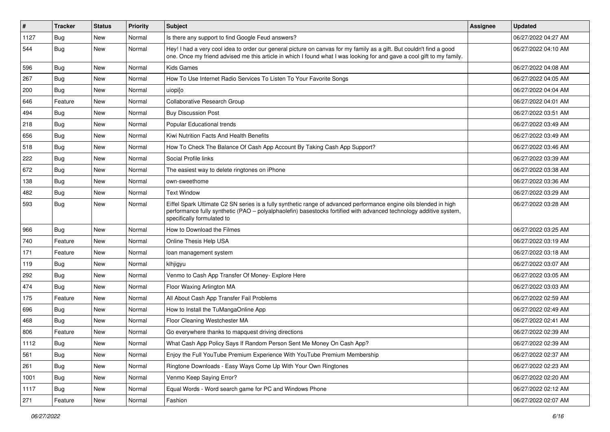| $\vert$ # | <b>Tracker</b> | <b>Status</b> | <b>Priority</b> | <b>Subject</b>                                                                                                                                                                                                                                                        | <b>Assignee</b> | <b>Updated</b>      |
|-----------|----------------|---------------|-----------------|-----------------------------------------------------------------------------------------------------------------------------------------------------------------------------------------------------------------------------------------------------------------------|-----------------|---------------------|
| 1127      | <b>Bug</b>     | New           | Normal          | Is there any support to find Google Feud answers?                                                                                                                                                                                                                     |                 | 06/27/2022 04:27 AM |
| 544       | Bug            | New           | Normal          | Hey! I had a very cool idea to order our general picture on canvas for my family as a gift. But couldn't find a good<br>one. Once my friend advised me this article in which I found what I was looking for and gave a cool gift to my family.                        |                 | 06/27/2022 04:10 AM |
| 596       | Bug            | New           | Normal          | <b>Kids Games</b>                                                                                                                                                                                                                                                     |                 | 06/27/2022 04:08 AM |
| 267       | Bug            | <b>New</b>    | Normal          | How To Use Internet Radio Services To Listen To Your Favorite Songs                                                                                                                                                                                                   |                 | 06/27/2022 04:05 AM |
| 200       | <b>Bug</b>     | New           | Normal          | uiopilo                                                                                                                                                                                                                                                               |                 | 06/27/2022 04:04 AM |
| 646       | Feature        | New           | Normal          | <b>Collaborative Research Group</b>                                                                                                                                                                                                                                   |                 | 06/27/2022 04:01 AM |
| 494       | Bug            | <b>New</b>    | Normal          | <b>Buy Discussion Post</b>                                                                                                                                                                                                                                            |                 | 06/27/2022 03:51 AM |
| 218       | Bug            | New           | Normal          | Popular Educational trends                                                                                                                                                                                                                                            |                 | 06/27/2022 03:49 AM |
| 656       | <b>Bug</b>     | <b>New</b>    | Normal          | Kiwi Nutrition Facts And Health Benefits                                                                                                                                                                                                                              |                 | 06/27/2022 03:49 AM |
| 518       | Bug            | New           | Normal          | How To Check The Balance Of Cash App Account By Taking Cash App Support?                                                                                                                                                                                              |                 | 06/27/2022 03:46 AM |
| 222       | <b>Bug</b>     | <b>New</b>    | Normal          | Social Profile links                                                                                                                                                                                                                                                  |                 | 06/27/2022 03:39 AM |
| 672       | Bug            | <b>New</b>    | Normal          | The easiest way to delete ringtones on iPhone                                                                                                                                                                                                                         |                 | 06/27/2022 03:38 AM |
| 138       | <b>Bug</b>     | <b>New</b>    | Normal          | own-sweethome                                                                                                                                                                                                                                                         |                 | 06/27/2022 03:36 AM |
| 482       | Bug            | <b>New</b>    | Normal          | <b>Text Window</b>                                                                                                                                                                                                                                                    |                 | 06/27/2022 03:29 AM |
| 593       | <b>Bug</b>     | <b>New</b>    | Normal          | Eiffel Spark Ultimate C2 SN series is a fully synthetic range of advanced performance engine oils blended in high<br>performance fully synthetic (PAO - polyalphaolefin) basestocks fortified with advanced technology additive system,<br>specifically formulated to |                 | 06/27/2022 03:28 AM |
| 966       | Bug            | New           | Normal          | How to Download the Filmes                                                                                                                                                                                                                                            |                 | 06/27/2022 03:25 AM |
| 740       | Feature        | <b>New</b>    | Normal          | Online Thesis Help USA                                                                                                                                                                                                                                                |                 | 06/27/2022 03:19 AM |
| 171       | Feature        | <b>New</b>    | Normal          | loan management system                                                                                                                                                                                                                                                |                 | 06/27/2022 03:18 AM |
| 119       | <b>Bug</b>     | <b>New</b>    | Normal          | klhjigyu                                                                                                                                                                                                                                                              |                 | 06/27/2022 03:07 AM |
| 292       | Bug            | <b>New</b>    | Normal          | Venmo to Cash App Transfer Of Money- Explore Here                                                                                                                                                                                                                     |                 | 06/27/2022 03:05 AM |
| 474       | <b>Bug</b>     | <b>New</b>    | Normal          | Floor Waxing Arlington MA                                                                                                                                                                                                                                             |                 | 06/27/2022 03:03 AM |
| 175       | Feature        | New           | Normal          | All About Cash App Transfer Fail Problems                                                                                                                                                                                                                             |                 | 06/27/2022 02:59 AM |
| 696       | Bug            | <b>New</b>    | Normal          | How to Install the TuMangaOnline App                                                                                                                                                                                                                                  |                 | 06/27/2022 02:49 AM |
| 468       | Bug            | New           | Normal          | Floor Cleaning Westchester MA                                                                                                                                                                                                                                         |                 | 06/27/2022 02:41 AM |
| 806       | Feature        | <b>New</b>    | Normal          | Go everywhere thanks to mapquest driving directions                                                                                                                                                                                                                   |                 | 06/27/2022 02:39 AM |
| 1112      | Bug            | New           | Normal          | What Cash App Policy Says If Random Person Sent Me Money On Cash App?                                                                                                                                                                                                 |                 | 06/27/2022 02:39 AM |
| 561       | <b>Bug</b>     | New           | Normal          | Enjoy the Full YouTube Premium Experience With YouTube Premium Membership                                                                                                                                                                                             |                 | 06/27/2022 02:37 AM |
| 261       | Bug            | New           | Normal          | Ringtone Downloads - Easy Ways Come Up With Your Own Ringtones                                                                                                                                                                                                        |                 | 06/27/2022 02:23 AM |
| 1001      | <b>Bug</b>     | New           | Normal          | Venmo Keep Saying Error?                                                                                                                                                                                                                                              |                 | 06/27/2022 02:20 AM |
| 1117      | Bug            | New           | Normal          | Equal Words - Word search game for PC and Windows Phone                                                                                                                                                                                                               |                 | 06/27/2022 02:12 AM |
| 271       | Feature        | New           | Normal          | Fashion                                                                                                                                                                                                                                                               |                 | 06/27/2022 02:07 AM |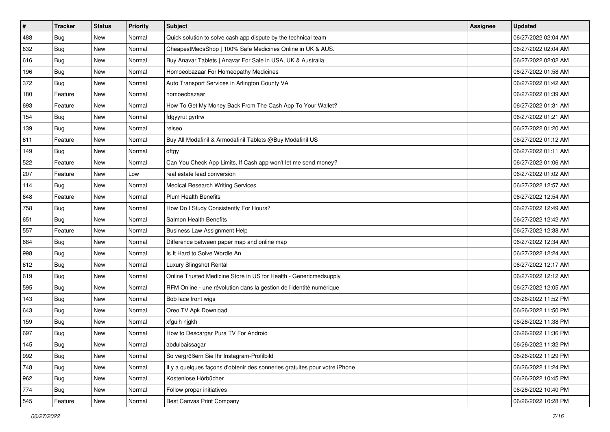| $\sharp$ | <b>Tracker</b> | <b>Status</b> | <b>Priority</b> | <b>Subject</b>                                                             | <b>Assignee</b> | <b>Updated</b>      |
|----------|----------------|---------------|-----------------|----------------------------------------------------------------------------|-----------------|---------------------|
| 488      | <b>Bug</b>     | New           | Normal          | Quick solution to solve cash app dispute by the technical team             |                 | 06/27/2022 02:04 AM |
| 632      | <b>Bug</b>     | New           | Normal          | CheapestMedsShop   100% Safe Medicines Online in UK & AUS.                 |                 | 06/27/2022 02:04 AM |
| 616      | Bug            | New           | Normal          | Buy Anavar Tablets   Anavar For Sale in USA, UK & Australia                |                 | 06/27/2022 02:02 AM |
| 196      | Bug            | <b>New</b>    | Normal          | Homoeobazaar For Homeopathy Medicines                                      |                 | 06/27/2022 01:58 AM |
| 372      | Bug            | New           | Normal          | Auto Transport Services in Arlington County VA                             |                 | 06/27/2022 01:42 AM |
| 180      | Feature        | New           | Normal          | homoeobazaar                                                               |                 | 06/27/2022 01:39 AM |
| 693      | Feature        | New           | Normal          | How To Get My Money Back From The Cash App To Your Wallet?                 |                 | 06/27/2022 01:31 AM |
| 154      | <b>Bug</b>     | New           | Normal          | fdgyyrut gyrtrw                                                            |                 | 06/27/2022 01:21 AM |
| 139      | Bug            | New           | Normal          | relseo                                                                     |                 | 06/27/2022 01:20 AM |
| 611      | Feature        | <b>New</b>    | Normal          | Buy All Modafinil & Armodafinil Tablets @Buy Modafinil US                  |                 | 06/27/2022 01:12 AM |
| 149      | <b>Bug</b>     | New           | Normal          | dftgy                                                                      |                 | 06/27/2022 01:11 AM |
| 522      | Feature        | New           | Normal          | Can You Check App Limits, If Cash app won't let me send money?             |                 | 06/27/2022 01:06 AM |
| 207      | Feature        | New           | Low             | real estate lead conversion                                                |                 | 06/27/2022 01:02 AM |
| 114      | <b>Bug</b>     | New           | Normal          | <b>Medical Research Writing Services</b>                                   |                 | 06/27/2022 12:57 AM |
| 648      | Feature        | <b>New</b>    | Normal          | <b>Plum Health Benefits</b>                                                |                 | 06/27/2022 12:54 AM |
| 758      | Bug            | New           | Normal          | How Do I Study Consistently For Hours?                                     |                 | 06/27/2022 12:49 AM |
| 651      | <b>Bug</b>     | New           | Normal          | Salmon Health Benefits                                                     |                 | 06/27/2022 12:42 AM |
| 557      | Feature        | New           | Normal          | <b>Business Law Assignment Help</b>                                        |                 | 06/27/2022 12:38 AM |
| 684      | Bug            | New           | Normal          | Difference between paper map and online map                                |                 | 06/27/2022 12:34 AM |
| 998      | Bug            | New           | Normal          | Is It Hard to Solve Wordle An                                              |                 | 06/27/2022 12:24 AM |
| 612      | <b>Bug</b>     | New           | Normal          | Luxury Slingshot Rental                                                    |                 | 06/27/2022 12:17 AM |
| 619      | Bug            | New           | Normal          | Online Trusted Medicine Store in US for Health - Genericmedsupply          |                 | 06/27/2022 12:12 AM |
| 595      | Bug            | New           | Normal          | RFM Online - une révolution dans la gestion de l'identité numérique        |                 | 06/27/2022 12:05 AM |
| 143      | <b>Bug</b>     | New           | Normal          | Bob lace front wigs                                                        |                 | 06/26/2022 11:52 PM |
| 643      | Bug            | New           | Normal          | Oreo TV Apk Download                                                       |                 | 06/26/2022 11:50 PM |
| 159      | Bug            | New           | Normal          | xfguih njgkh                                                               |                 | 06/26/2022 11:38 PM |
| 697      | <b>Bug</b>     | New           | Normal          | How to Descargar Pura TV For Android                                       |                 | 06/26/2022 11:36 PM |
| 145      | I Bug          | New           | Normal          | abdulbaissagar                                                             |                 | 06/26/2022 11:32 PM |
| 992      | <b>Bug</b>     | New           | Normal          | So vergrößern Sie Ihr Instagram-Profilbild                                 |                 | 06/26/2022 11:29 PM |
| 748      | <b>Bug</b>     | New           | Normal          | Il y a quelques façons d'obtenir des sonneries gratuites pour votre iPhone |                 | 06/26/2022 11:24 PM |
| 962      | <b>Bug</b>     | New           | Normal          | Kostenlose Hörbücher                                                       |                 | 06/26/2022 10:45 PM |
| 774      | <b>Bug</b>     | New           | Normal          | Follow proper initiatives                                                  |                 | 06/26/2022 10:40 PM |
| 545      | Feature        | New           | Normal          | <b>Best Canvas Print Company</b>                                           |                 | 06/26/2022 10:28 PM |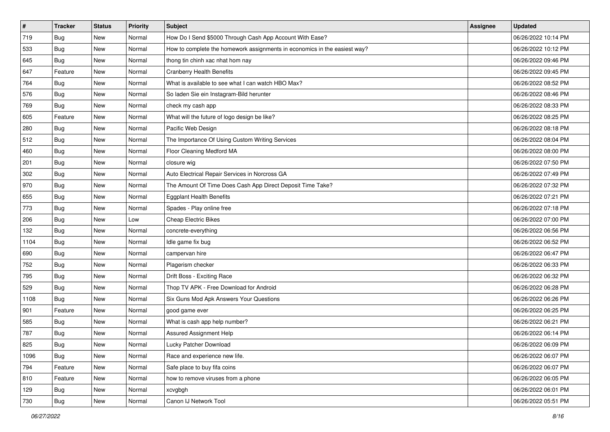| $\pmb{\#}$ | <b>Tracker</b> | <b>Status</b> | <b>Priority</b> | Subject                                                                   | <b>Assignee</b> | <b>Updated</b>      |
|------------|----------------|---------------|-----------------|---------------------------------------------------------------------------|-----------------|---------------------|
| 719        | <b>Bug</b>     | New           | Normal          | How Do I Send \$5000 Through Cash App Account With Ease?                  |                 | 06/26/2022 10:14 PM |
| 533        | Bug            | New           | Normal          | How to complete the homework assignments in economics in the easiest way? |                 | 06/26/2022 10:12 PM |
| 645        | Bug            | New           | Normal          | thong tin chinh xac nhat hom nay                                          |                 | 06/26/2022 09:46 PM |
| 647        | Feature        | <b>New</b>    | Normal          | <b>Cranberry Health Benefits</b>                                          |                 | 06/26/2022 09:45 PM |
| 764        | Bug            | New           | Normal          | What is available to see what I can watch HBO Max?                        |                 | 06/26/2022 08:52 PM |
| 576        | <b>Bug</b>     | New           | Normal          | So laden Sie ein Instagram-Bild herunter                                  |                 | 06/26/2022 08:46 PM |
| 769        | <b>Bug</b>     | New           | Normal          | check my cash app                                                         |                 | 06/26/2022 08:33 PM |
| 605        | Feature        | <b>New</b>    | Normal          | What will the future of logo design be like?                              |                 | 06/26/2022 08:25 PM |
| 280        | Bug            | New           | Normal          | Pacific Web Design                                                        |                 | 06/26/2022 08:18 PM |
| 512        | Bug            | New           | Normal          | The Importance Of Using Custom Writing Services                           |                 | 06/26/2022 08:04 PM |
| 460        | <b>Bug</b>     | New           | Normal          | Floor Cleaning Medford MA                                                 |                 | 06/26/2022 08:00 PM |
| 201        | <b>Bug</b>     | New           | Normal          | closure wig                                                               |                 | 06/26/2022 07:50 PM |
| 302        | Bug            | New           | Normal          | Auto Electrical Repair Services in Norcross GA                            |                 | 06/26/2022 07:49 PM |
| 970        | <b>Bug</b>     | New           | Normal          | The Amount Of Time Does Cash App Direct Deposit Time Take?                |                 | 06/26/2022 07:32 PM |
| 655        | <b>Bug</b>     | New           | Normal          | <b>Eggplant Health Benefits</b>                                           |                 | 06/26/2022 07:21 PM |
| 773        | <b>Bug</b>     | New           | Normal          | Spades - Play online free                                                 |                 | 06/26/2022 07:18 PM |
| 206        | Bug            | New           | Low             | <b>Cheap Electric Bikes</b>                                               |                 | 06/26/2022 07:00 PM |
| 132        | Bug            | <b>New</b>    | Normal          | concrete-everything                                                       |                 | 06/26/2022 06:56 PM |
| 1104       | <b>Bug</b>     | New           | Normal          | Idle game fix bug                                                         |                 | 06/26/2022 06:52 PM |
| 690        | Bug            | New           | Normal          | campervan hire                                                            |                 | 06/26/2022 06:47 PM |
| 752        | <b>Bug</b>     | New           | Normal          | Plagerism checker                                                         |                 | 06/26/2022 06:33 PM |
| 795        | <b>Bug</b>     | New           | Normal          | Drift Boss - Exciting Race                                                |                 | 06/26/2022 06:32 PM |
| 529        | Bug            | <b>New</b>    | Normal          | Thop TV APK - Free Download for Android                                   |                 | 06/26/2022 06:28 PM |
| 1108       | Bug            | New           | Normal          | Six Guns Mod Apk Answers Your Questions                                   |                 | 06/26/2022 06:26 PM |
| 901        | Feature        | New           | Normal          | good game ever                                                            |                 | 06/26/2022 06:25 PM |
| 585        | Bug            | <b>New</b>    | Normal          | What is cash app help number?                                             |                 | 06/26/2022 06:21 PM |
| 787        | Bug            | New           | Normal          | Assured Assignment Help                                                   |                 | 06/26/2022 06:14 PM |
| 825        | Bug            | New           | Normal          | Lucky Patcher Download                                                    |                 | 06/26/2022 06:09 PM |
| 1096       | Bug            | New           | Normal          | Race and experience new life.                                             |                 | 06/26/2022 06:07 PM |
| 794        | Feature        | New           | Normal          | Safe place to buy fifa coins                                              |                 | 06/26/2022 06:07 PM |
| 810        | Feature        | New           | Normal          | how to remove viruses from a phone                                        |                 | 06/26/2022 06:05 PM |
| 129        | Bug            | New           | Normal          | xcvgbgh                                                                   |                 | 06/26/2022 06:01 PM |
| 730        | <b>Bug</b>     | New           | Normal          | Canon IJ Network Tool                                                     |                 | 06/26/2022 05:51 PM |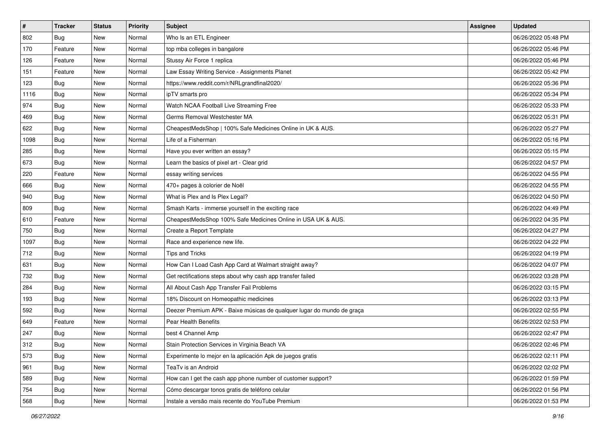| $\sharp$ | <b>Tracker</b> | <b>Status</b> | <b>Priority</b> | <b>Subject</b>                                                         | <b>Assignee</b> | <b>Updated</b>      |
|----------|----------------|---------------|-----------------|------------------------------------------------------------------------|-----------------|---------------------|
| 802      | <b>Bug</b>     | New           | Normal          | Who Is an ETL Engineer                                                 |                 | 06/26/2022 05:48 PM |
| 170      | Feature        | New           | Normal          | top mba colleges in bangalore                                          |                 | 06/26/2022 05:46 PM |
| 126      | Feature        | New           | Normal          | Stussy Air Force 1 replica                                             |                 | 06/26/2022 05:46 PM |
| 151      | Feature        | New           | Normal          | Law Essay Writing Service - Assignments Planet                         |                 | 06/26/2022 05:42 PM |
| 123      | Bug            | New           | Normal          | https://www.reddit.com/r/NRLgrandfinal2020/                            |                 | 06/26/2022 05:36 PM |
| 1116     | <b>Bug</b>     | New           | Normal          | ipTV smarts pro                                                        |                 | 06/26/2022 05:34 PM |
| 974      | Bug            | New           | Normal          | Watch NCAA Football Live Streaming Free                                |                 | 06/26/2022 05:33 PM |
| 469      | <b>Bug</b>     | New           | Normal          | Germs Removal Westchester MA                                           |                 | 06/26/2022 05:31 PM |
| 622      | <b>Bug</b>     | New           | Normal          | CheapestMedsShop   100% Safe Medicines Online in UK & AUS.             |                 | 06/26/2022 05:27 PM |
| 1098     | Bug            | New           | Normal          | Life of a Fisherman                                                    |                 | 06/26/2022 05:16 PM |
| 285      | <b>Bug</b>     | New           | Normal          | Have you ever written an essay?                                        |                 | 06/26/2022 05:15 PM |
| 673      | Bug            | New           | Normal          | Learn the basics of pixel art - Clear grid                             |                 | 06/26/2022 04:57 PM |
| 220      | Feature        | New           | Normal          | essay writing services                                                 |                 | 06/26/2022 04:55 PM |
| 666      | <b>Bug</b>     | New           | Normal          | 470+ pages à colorier de Noël                                          |                 | 06/26/2022 04:55 PM |
| 940      | <b>Bug</b>     | <b>New</b>    | Normal          | What is Plex and Is Plex Legal?                                        |                 | 06/26/2022 04:50 PM |
| 809      | Bug            | New           | Normal          | Smash Karts - immerse yourself in the exciting race                    |                 | 06/26/2022 04:49 PM |
| 610      | Feature        | New           | Normal          | CheapestMedsShop 100% Safe Medicines Online in USA UK & AUS.           |                 | 06/26/2022 04:35 PM |
| 750      | Bug            | New           | Normal          | Create a Report Template                                               |                 | 06/26/2022 04:27 PM |
| 1097     | Bug            | New           | Normal          | Race and experience new life.                                          |                 | 06/26/2022 04:22 PM |
| 712      | Bug            | New           | Normal          | Tips and Tricks                                                        |                 | 06/26/2022 04:19 PM |
| 631      | <b>Bug</b>     | New           | Normal          | How Can I Load Cash App Card at Walmart straight away?                 |                 | 06/26/2022 04:07 PM |
| 732      | Bug            | New           | Normal          | Get rectifications steps about why cash app transfer failed            |                 | 06/26/2022 03:28 PM |
| 284      | Bug            | New           | Normal          | All About Cash App Transfer Fail Problems                              |                 | 06/26/2022 03:15 PM |
| 193      | <b>Bug</b>     | New           | Normal          | 18% Discount on Homeopathic medicines                                  |                 | 06/26/2022 03:13 PM |
| 592      | <b>Bug</b>     | New           | Normal          | Deezer Premium APK - Baixe músicas de qualquer lugar do mundo de graça |                 | 06/26/2022 02:55 PM |
| 649      | Feature        | New           | Normal          | Pear Health Benefits                                                   |                 | 06/26/2022 02:53 PM |
| 247      | <b>Bug</b>     | New           | Normal          | best 4 Channel Amp                                                     |                 | 06/26/2022 02:47 PM |
| 312      | <b>Bug</b>     | New           | Normal          | Stain Protection Services in Virginia Beach VA                         |                 | 06/26/2022 02:46 PM |
| 573      | <b>Bug</b>     | New           | Normal          | Experimente lo mejor en la aplicación Apk de juegos gratis             |                 | 06/26/2022 02:11 PM |
| 961      | <b>Bug</b>     | New           | Normal          | TeaTv is an Android                                                    |                 | 06/26/2022 02:02 PM |
| 589      | <b>Bug</b>     | New           | Normal          | How can I get the cash app phone number of customer support?           |                 | 06/26/2022 01:59 PM |
| 754      | <b>Bug</b>     | New           | Normal          | Cómo descargar tonos gratis de teléfono celular                        |                 | 06/26/2022 01:56 PM |
| 568      | <b>Bug</b>     | New           | Normal          | Instale a versão mais recente do YouTube Premium                       |                 | 06/26/2022 01:53 PM |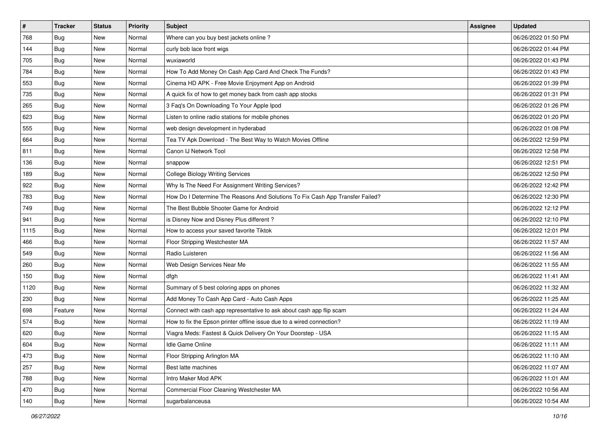| $\sharp$ | <b>Tracker</b> | <b>Status</b> | <b>Priority</b> | <b>Subject</b>                                                                | <b>Assignee</b> | <b>Updated</b>      |
|----------|----------------|---------------|-----------------|-------------------------------------------------------------------------------|-----------------|---------------------|
| 768      | <b>Bug</b>     | New           | Normal          | Where can you buy best jackets online?                                        |                 | 06/26/2022 01:50 PM |
| 144      | <b>Bug</b>     | New           | Normal          | curly bob lace front wigs                                                     |                 | 06/26/2022 01:44 PM |
| 705      | Bug            | New           | Normal          | wuxiaworld                                                                    |                 | 06/26/2022 01:43 PM |
| 784      | Bug            | <b>New</b>    | Normal          | How To Add Money On Cash App Card And Check The Funds?                        |                 | 06/26/2022 01:43 PM |
| 553      | Bug            | New           | Normal          | Cinema HD APK - Free Movie Enjoyment App on Android                           |                 | 06/26/2022 01:39 PM |
| 735      | <b>Bug</b>     | New           | Normal          | A quick fix of how to get money back from cash app stocks                     |                 | 06/26/2022 01:31 PM |
| 265      | Bug            | New           | Normal          | 3 Faq's On Downloading To Your Apple Ipod                                     |                 | 06/26/2022 01:26 PM |
| 623      | <b>Bug</b>     | New           | Normal          | Listen to online radio stations for mobile phones                             |                 | 06/26/2022 01:20 PM |
| 555      | <b>Bug</b>     | New           | Normal          | web design development in hyderabad                                           |                 | 06/26/2022 01:08 PM |
| 664      | Bug            | New           | Normal          | Tea TV Apk Download - The Best Way to Watch Movies Offline                    |                 | 06/26/2022 12:59 PM |
| 811      | <b>Bug</b>     | New           | Normal          | Canon IJ Network Tool                                                         |                 | 06/26/2022 12:58 PM |
| 136      | Bug            | New           | Normal          | snappow                                                                       |                 | 06/26/2022 12:51 PM |
| 189      | Bug            | New           | Normal          | <b>College Biology Writing Services</b>                                       |                 | 06/26/2022 12:50 PM |
| 922      | <b>Bug</b>     | New           | Normal          | Why Is The Need For Assignment Writing Services?                              |                 | 06/26/2022 12:42 PM |
| 783      | <b>Bug</b>     | <b>New</b>    | Normal          | How Do I Determine The Reasons And Solutions To Fix Cash App Transfer Failed? |                 | 06/26/2022 12:30 PM |
| 749      | Bug            | New           | Normal          | The Best Bubble Shooter Game for Android                                      |                 | 06/26/2022 12:12 PM |
| 941      | <b>Bug</b>     | New           | Normal          | is Disney Now and Disney Plus different?                                      |                 | 06/26/2022 12:10 PM |
| 1115     | Bug            | New           | Normal          | How to access your saved favorite Tiktok                                      |                 | 06/26/2022 12:01 PM |
| 466      | Bug            | New           | Normal          | Floor Stripping Westchester MA                                                |                 | 06/26/2022 11:57 AM |
| 549      | Bug            | New           | Normal          | Radio Luisteren                                                               |                 | 06/26/2022 11:56 AM |
| 260      | Bug            | New           | Normal          | Web Design Services Near Me                                                   |                 | 06/26/2022 11:55 AM |
| 150      | <b>Bug</b>     | New           | Normal          | dfgh                                                                          |                 | 06/26/2022 11:41 AM |
| 1120     | Bug            | New           | Normal          | Summary of 5 best coloring apps on phones                                     |                 | 06/26/2022 11:32 AM |
| 230      | <b>Bug</b>     | New           | Normal          | Add Money To Cash App Card - Auto Cash Apps                                   |                 | 06/26/2022 11:25 AM |
| 698      | Feature        | New           | Normal          | Connect with cash app representative to ask about cash app flip scam          |                 | 06/26/2022 11:24 AM |
| 574      | Bug            | New           | Normal          | How to fix the Epson printer offline issue due to a wired connection?         |                 | 06/26/2022 11:19 AM |
| 620      | <b>Bug</b>     | New           | Normal          | Viagra Meds: Fastest & Quick Delivery On Your Doorstep - USA                  |                 | 06/26/2022 11:15 AM |
| 604      | I Bug          | New           | Normal          | Idle Game Online                                                              |                 | 06/26/2022 11:11 AM |
| 473      | <b>Bug</b>     | New           | Normal          | Floor Stripping Arlington MA                                                  |                 | 06/26/2022 11:10 AM |
| 257      | <b>Bug</b>     | New           | Normal          | Best latte machines                                                           |                 | 06/26/2022 11:07 AM |
| 788      | <b>Bug</b>     | New           | Normal          | Intro Maker Mod APK                                                           |                 | 06/26/2022 11:01 AM |
| 470      | Bug            | New           | Normal          | Commercial Floor Cleaning Westchester MA                                      |                 | 06/26/2022 10:56 AM |
| 140      | <b>Bug</b>     | New           | Normal          | sugarbalanceusa                                                               |                 | 06/26/2022 10:54 AM |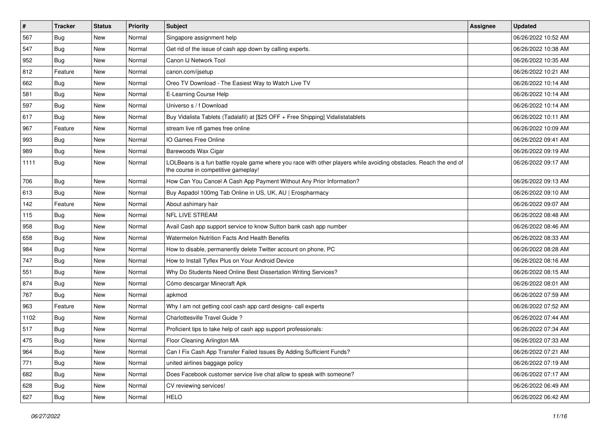| $\vert$ # | <b>Tracker</b> | <b>Status</b> | <b>Priority</b> | Subject                                                                                                                                                  | <b>Assignee</b> | <b>Updated</b>      |
|-----------|----------------|---------------|-----------------|----------------------------------------------------------------------------------------------------------------------------------------------------------|-----------------|---------------------|
| 567       | Bug            | New           | Normal          | Singapore assignment help                                                                                                                                |                 | 06/26/2022 10:52 AM |
| 547       | Bug            | <b>New</b>    | Normal          | Get rid of the issue of cash app down by calling experts.                                                                                                |                 | 06/26/2022 10:38 AM |
| 952       | <b>Bug</b>     | New           | Normal          | Canon IJ Network Tool                                                                                                                                    |                 | 06/26/2022 10:35 AM |
| 812       | Feature        | New           | Normal          | canon.com/ijsetup                                                                                                                                        |                 | 06/26/2022 10:21 AM |
| 662       | <b>Bug</b>     | <b>New</b>    | Normal          | Oreo TV Download - The Easiest Way to Watch Live TV                                                                                                      |                 | 06/26/2022 10:14 AM |
| 581       | <b>Bug</b>     | New           | Normal          | E-Learning Course Help                                                                                                                                   |                 | 06/26/2022 10:14 AM |
| 597       | <b>Bug</b>     | <b>New</b>    | Normal          | Universo s / f Download                                                                                                                                  |                 | 06/26/2022 10:14 AM |
| 617       | <b>Bug</b>     | New           | Normal          | Buy Vidalista Tablets (Tadalafil) at [\$25 OFF + Free Shipping] Vidalistatablets                                                                         |                 | 06/26/2022 10:11 AM |
| 967       | Feature        | <b>New</b>    | Normal          | stream live nfl games free online                                                                                                                        |                 | 06/26/2022 10:09 AM |
| 993       | Bug            | <b>New</b>    | Normal          | IO Games Free Online                                                                                                                                     |                 | 06/26/2022 09:41 AM |
| 989       | <b>Bug</b>     | New           | Normal          | Barewoods Wax Cigar                                                                                                                                      |                 | 06/26/2022 09:19 AM |
| 1111      | Bug            | New           | Normal          | LOLBeans is a fun battle royale game where you race with other players while avoiding obstacles. Reach the end of<br>the course in competitive gameplay! |                 | 06/26/2022 09:17 AM |
| 706       | <b>Bug</b>     | New           | Normal          | How Can You Cancel A Cash App Payment Without Any Prior Information?                                                                                     |                 | 06/26/2022 09:13 AM |
| 613       | <b>Bug</b>     | New           | Normal          | Buy Aspadol 100mg Tab Online in US, UK, AU   Erospharmacy                                                                                                |                 | 06/26/2022 09:10 AM |
| 142       | Feature        | New           | Normal          | About ashimary hair                                                                                                                                      |                 | 06/26/2022 09:07 AM |
| 115       | <b>Bug</b>     | New           | Normal          | <b>NFL LIVE STREAM</b>                                                                                                                                   |                 | 06/26/2022 08:48 AM |
| 958       | Bug            | <b>New</b>    | Normal          | Avail Cash app support service to know Sutton bank cash app number                                                                                       |                 | 06/26/2022 08:46 AM |
| 658       | <b>Bug</b>     | New           | Normal          | Watermelon Nutrition Facts And Health Benefits                                                                                                           |                 | 06/26/2022 08:33 AM |
| 984       | <b>Bug</b>     | New           | Normal          | How to disable, permanently delete Twitter account on phone, PC                                                                                          |                 | 06/26/2022 08:28 AM |
| 747       | Bug            | New           | Normal          | How to Install Tyflex Plus on Your Android Device                                                                                                        |                 | 06/26/2022 08:16 AM |
| 551       | <b>Bug</b>     | <b>New</b>    | Normal          | Why Do Students Need Online Best Dissertation Writing Services?                                                                                          |                 | 06/26/2022 08:15 AM |
| 874       | Bug            | <b>New</b>    | Normal          | Cómo descargar Minecraft Apk                                                                                                                             |                 | 06/26/2022 08:01 AM |
| 767       | <b>Bug</b>     | New           | Normal          | apkmod                                                                                                                                                   |                 | 06/26/2022 07:59 AM |
| 963       | Feature        | New           | Normal          | Why I am not getting cool cash app card designs- call experts                                                                                            |                 | 06/26/2022 07:52 AM |
| 1102      | <b>Bug</b>     | New           | Normal          | Charlottesville Travel Guide?                                                                                                                            |                 | 06/26/2022 07:44 AM |
| 517       | Bug            | <b>New</b>    | Normal          | Proficient tips to take help of cash app support professionals:                                                                                          |                 | 06/26/2022 07:34 AM |
| 475       | <b>Bug</b>     | New           | Normal          | Floor Cleaning Arlington MA                                                                                                                              |                 | 06/26/2022 07:33 AM |
| 964       | Bug            | New           | Normal          | Can I Fix Cash App Transfer Failed Issues By Adding Sufficient Funds?                                                                                    |                 | 06/26/2022 07:21 AM |
| 771       | <b>Bug</b>     | New           | Normal          | united airlines baggage policy                                                                                                                           |                 | 06/26/2022 07:19 AM |
| 682       | Bug            | New           | Normal          | Does Facebook customer service live chat allow to speak with someone?                                                                                    |                 | 06/26/2022 07:17 AM |
| 628       | <b>Bug</b>     | New           | Normal          | CV reviewing services!                                                                                                                                   |                 | 06/26/2022 06:49 AM |
| 627       | Bug            | New           | Normal          | <b>HELO</b>                                                                                                                                              |                 | 06/26/2022 06:42 AM |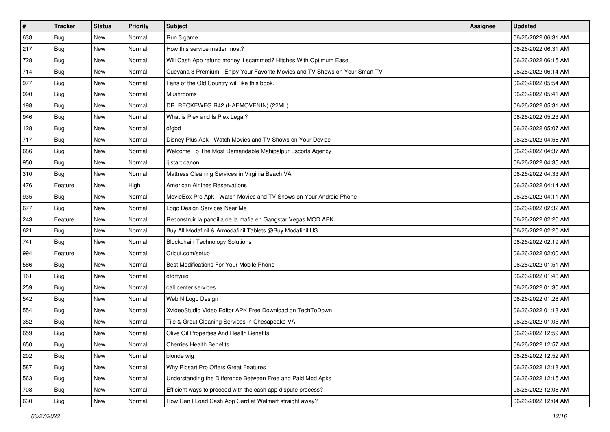| $\sharp$ | <b>Tracker</b> | <b>Status</b> | <b>Priority</b> | <b>Subject</b>                                                               | <b>Assignee</b> | <b>Updated</b>      |
|----------|----------------|---------------|-----------------|------------------------------------------------------------------------------|-----------------|---------------------|
| 638      | <b>Bug</b>     | New           | Normal          | Run 3 game                                                                   |                 | 06/26/2022 06:31 AM |
| 217      | Bug            | New           | Normal          | How this service matter most?                                                |                 | 06/26/2022 06:31 AM |
| 728      | Bug            | New           | Normal          | Will Cash App refund money if scammed? Hitches With Optimum Ease             |                 | 06/26/2022 06:15 AM |
| 714      | <b>Bug</b>     | <b>New</b>    | Normal          | Cuevana 3 Premium - Enjoy Your Favorite Movies and TV Shows on Your Smart TV |                 | 06/26/2022 06:14 AM |
| 977      | Bug            | New           | Normal          | Fans of the Old Country will like this book.                                 |                 | 06/26/2022 05:54 AM |
| 990      | <b>Bug</b>     | <b>New</b>    | Normal          | <b>Mushrooms</b>                                                             |                 | 06/26/2022 05:41 AM |
| 198      | Bug            | New           | Normal          | DR. RECKEWEG R42 (HAEMOVENIN) (22ML)                                         |                 | 06/26/2022 05:31 AM |
| 946      | <b>Bug</b>     | New           | Normal          | What is Plex and Is Plex Legal?                                              |                 | 06/26/2022 05:23 AM |
| 128      | Bug            | New           | Normal          | dfgbd                                                                        |                 | 06/26/2022 05:07 AM |
| 717      | Bug            | <b>New</b>    | Normal          | Disney Plus Apk - Watch Movies and TV Shows on Your Device                   |                 | 06/26/2022 04:56 AM |
| 686      | <b>Bug</b>     | New           | Normal          | Welcome To The Most Demandable Mahipalpur Escorts Agency                     |                 | 06/26/2022 04:37 AM |
| 950      | Bug            | New           | Normal          | ij.start canon                                                               |                 | 06/26/2022 04:35 AM |
| 310      | Bug            | New           | Normal          | Mattress Cleaning Services in Virginia Beach VA                              |                 | 06/26/2022 04:33 AM |
| 476      | Feature        | New           | High            | <b>American Airlines Reservations</b>                                        |                 | 06/26/2022 04:14 AM |
| 935      | <b>Bug</b>     | <b>New</b>    | Normal          | MovieBox Pro Apk - Watch Movies and TV Shows on Your Android Phone           |                 | 06/26/2022 04:11 AM |
| 677      | Bug            | New           | Normal          | Logo Design Services Near Me                                                 |                 | 06/26/2022 02:32 AM |
| 243      | Feature        | <b>New</b>    | Normal          | Reconstruir la pandilla de la mafia en Gangstar Vegas MOD APK                |                 | 06/26/2022 02:20 AM |
| 621      | Bug            | New           | Normal          | Buy All Modafinil & Armodafinil Tablets @Buy Modafinil US                    |                 | 06/26/2022 02:20 AM |
| 741      | Bug            | New           | Normal          | <b>Blockchain Technology Solutions</b>                                       |                 | 06/26/2022 02:19 AM |
| 994      | Feature        | New           | Normal          | Cricut.com/setup                                                             |                 | 06/26/2022 02:00 AM |
| 586      | <b>Bug</b>     | New           | Normal          | Best Modifications For Your Mobile Phone                                     |                 | 06/26/2022 01:51 AM |
| 161      | Bug            | New           | Normal          | dfdrtyuio                                                                    |                 | 06/26/2022 01:46 AM |
| 259      | Bug            | New           | Normal          | call center services                                                         |                 | 06/26/2022 01:30 AM |
| 542      | <b>Bug</b>     | New           | Normal          | Web N Logo Design                                                            |                 | 06/26/2022 01:28 AM |
| 554      | Bug            | New           | Normal          | XvideoStudio Video Editor APK Free Download on TechToDown                    |                 | 06/26/2022 01:18 AM |
| 352      | Bug            | <b>New</b>    | Normal          | Tile & Grout Cleaning Services in Chesapeake VA                              |                 | 06/26/2022 01:05 AM |
| 659      | <b>Bug</b>     | New           | Normal          | Olive Oil Properties And Health Benefits                                     |                 | 06/26/2022 12:59 AM |
| 650      | I Bug          | New           | Normal          | <b>Cherries Health Benefits</b>                                              |                 | 06/26/2022 12:57 AM |
| 202      | <b>Bug</b>     | New           | Normal          | blonde wig                                                                   |                 | 06/26/2022 12:52 AM |
| 587      | <b>Bug</b>     | New           | Normal          | Why Picsart Pro Offers Great Features                                        |                 | 06/26/2022 12:18 AM |
| 563      | <b>Bug</b>     | New           | Normal          | Understanding the Difference Between Free and Paid Mod Apks                  |                 | 06/26/2022 12:15 AM |
| 708      | Bug            | New           | Normal          | Efficient ways to proceed with the cash app dispute process?                 |                 | 06/26/2022 12:08 AM |
| 630      | <b>Bug</b>     | New           | Normal          | How Can I Load Cash App Card at Walmart straight away?                       |                 | 06/26/2022 12:04 AM |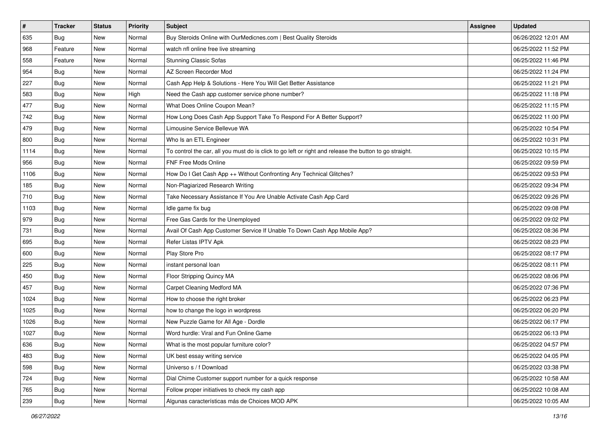| $\sharp$ | <b>Tracker</b> | <b>Status</b> | <b>Priority</b> | Subject                                                                                                 | Assignee | <b>Updated</b>      |
|----------|----------------|---------------|-----------------|---------------------------------------------------------------------------------------------------------|----------|---------------------|
| 635      | <b>Bug</b>     | New           | Normal          | Buy Steroids Online with OurMedicnes.com   Best Quality Steroids                                        |          | 06/26/2022 12:01 AM |
| 968      | Feature        | New           | Normal          | watch nfl online free live streaming                                                                    |          | 06/25/2022 11:52 PM |
| 558      | Feature        | New           | Normal          | <b>Stunning Classic Sofas</b>                                                                           |          | 06/25/2022 11:46 PM |
| 954      | <b>Bug</b>     | New           | Normal          | AZ Screen Recorder Mod                                                                                  |          | 06/25/2022 11:24 PM |
| 227      | Bug            | New           | Normal          | Cash App Help & Solutions - Here You Will Get Better Assistance                                         |          | 06/25/2022 11:21 PM |
| 583      | <b>Bug</b>     | New           | High            | Need the Cash app customer service phone number?                                                        |          | 06/25/2022 11:18 PM |
| 477      | Bug            | New           | Normal          | What Does Online Coupon Mean?                                                                           |          | 06/25/2022 11:15 PM |
| 742      | Bug            | <b>New</b>    | Normal          | How Long Does Cash App Support Take To Respond For A Better Support?                                    |          | 06/25/2022 11:00 PM |
| 479      | Bug            | New           | Normal          | Limousine Service Bellevue WA                                                                           |          | 06/25/2022 10:54 PM |
| 800      | <b>Bug</b>     | <b>New</b>    | Normal          | Who Is an ETL Engineer                                                                                  |          | 06/25/2022 10:31 PM |
| 1114     | <b>Bug</b>     | New           | Normal          | To control the car, all you must do is click to go left or right and release the button to go straight. |          | 06/25/2022 10:15 PM |
| 956      | Bug            | New           | Normal          | <b>FNF Free Mods Online</b>                                                                             |          | 06/25/2022 09:59 PM |
| 1106     | Bug            | New           | Normal          | How Do I Get Cash App ++ Without Confronting Any Technical Glitches?                                    |          | 06/25/2022 09:53 PM |
| 185      | Bug            | New           | Normal          | Non-Plagiarized Research Writing                                                                        |          | 06/25/2022 09:34 PM |
| 710      | <b>Bug</b>     | New           | Normal          | Take Necessary Assistance If You Are Unable Activate Cash App Card                                      |          | 06/25/2022 09:26 PM |
| 1103     | Bug            | New           | Normal          | Idle game fix bug                                                                                       |          | 06/25/2022 09:08 PM |
| 979      | <b>Bug</b>     | New           | Normal          | Free Gas Cards for the Unemployed                                                                       |          | 06/25/2022 09:02 PM |
| 731      | Bug            | New           | Normal          | Avail Of Cash App Customer Service If Unable To Down Cash App Mobile App?                               |          | 06/25/2022 08:36 PM |
| 695      | <b>Bug</b>     | New           | Normal          | Refer Listas IPTV Apk                                                                                   |          | 06/25/2022 08:23 PM |
| 600      | Bug            | New           | Normal          | Play Store Pro                                                                                          |          | 06/25/2022 08:17 PM |
| 225      | Bug            | <b>New</b>    | Normal          | instant personal loan                                                                                   |          | 06/25/2022 08:11 PM |
| 450      | Bug            | New           | Normal          | Floor Stripping Quincy MA                                                                               |          | 06/25/2022 08:06 PM |
| 457      | Bug            | New           | Normal          | Carpet Cleaning Medford MA                                                                              |          | 06/25/2022 07:36 PM |
| 1024     | <b>Bug</b>     | New           | Normal          | How to choose the right broker                                                                          |          | 06/25/2022 06:23 PM |
| 1025     | Bug            | New           | Normal          | how to change the logo in wordpress                                                                     |          | 06/25/2022 06:20 PM |
| 1026     | Bug            | New           | Normal          | New Puzzle Game for All Age - Dordle                                                                    |          | 06/25/2022 06:17 PM |
| 1027     | <b>Bug</b>     | New           | Normal          | Word hurdle: Viral and Fun Online Game                                                                  |          | 06/25/2022 06:13 PM |
| 636      | <b>Bug</b>     | New           | Normal          | What is the most popular furniture color?                                                               |          | 06/25/2022 04:57 PM |
| 483      | <b>Bug</b>     | New           | Normal          | UK best essay writing service                                                                           |          | 06/25/2022 04:05 PM |
| 598      | <b>Bug</b>     | New           | Normal          | Universo s / f Download                                                                                 |          | 06/25/2022 03:38 PM |
| 724      | Bug            | New           | Normal          | Dial Chime Customer support number for a quick response                                                 |          | 06/25/2022 10:58 AM |
| 765      | <b>Bug</b>     | New           | Normal          | Follow proper initiatives to check my cash app                                                          |          | 06/25/2022 10:08 AM |
| 239      | <b>Bug</b>     | New           | Normal          | Algunas características más de Choices MOD APK                                                          |          | 06/25/2022 10:05 AM |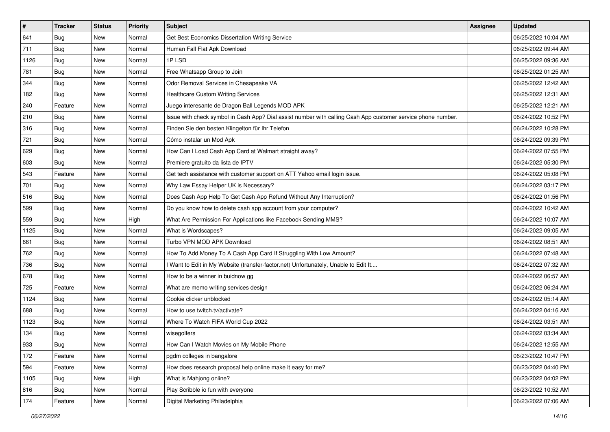| $\vert$ # | <b>Tracker</b> | <b>Status</b> | <b>Priority</b> | Subject                                                                                                      | <b>Assignee</b> | <b>Updated</b>      |
|-----------|----------------|---------------|-----------------|--------------------------------------------------------------------------------------------------------------|-----------------|---------------------|
| 641       | <b>Bug</b>     | New           | Normal          | Get Best Economics Dissertation Writing Service                                                              |                 | 06/25/2022 10:04 AM |
| 711       | <b>Bug</b>     | New           | Normal          | Human Fall Flat Apk Download                                                                                 |                 | 06/25/2022 09:44 AM |
| 1126      | <b>Bug</b>     | New           | Normal          | 1PLSD                                                                                                        |                 | 06/25/2022 09:36 AM |
| 781       | <b>Bug</b>     | New           | Normal          | Free Whatsapp Group to Join                                                                                  |                 | 06/25/2022 01:25 AM |
| 344       | <b>Bug</b>     | <b>New</b>    | Normal          | Odor Removal Services in Chesapeake VA                                                                       |                 | 06/25/2022 12:42 AM |
| 182       | Bug            | New           | Normal          | <b>Healthcare Custom Writing Services</b>                                                                    |                 | 06/25/2022 12:31 AM |
| 240       | Feature        | New           | Normal          | Juego interesante de Dragon Ball Legends MOD APK                                                             |                 | 06/25/2022 12:21 AM |
| 210       | <b>Bug</b>     | New           | Normal          | Issue with check symbol in Cash App? Dial assist number with calling Cash App customer service phone number. |                 | 06/24/2022 10:52 PM |
| 316       | <b>Bug</b>     | New           | Normal          | Finden Sie den besten Klingelton für Ihr Telefon                                                             |                 | 06/24/2022 10:28 PM |
| 721       | Bug            | New           | Normal          | Cómo instalar un Mod Apk                                                                                     |                 | 06/24/2022 09:39 PM |
| 629       | <b>Bug</b>     | New           | Normal          | How Can I Load Cash App Card at Walmart straight away?                                                       |                 | 06/24/2022 07:55 PM |
| 603       | <b>Bug</b>     | New           | Normal          | Premiere gratuito da lista de IPTV                                                                           |                 | 06/24/2022 05:30 PM |
| 543       | Feature        | New           | Normal          | Get tech assistance with customer support on ATT Yahoo email login issue.                                    |                 | 06/24/2022 05:08 PM |
| 701       | <b>Bug</b>     | New           | Normal          | Why Law Essay Helper UK is Necessary?                                                                        |                 | 06/24/2022 03:17 PM |
| 516       | <b>Bug</b>     | New           | Normal          | Does Cash App Help To Get Cash App Refund Without Any Interruption?                                          |                 | 06/24/2022 01:56 PM |
| 599       | Bug            | New           | Normal          | Do you know how to delete cash app account from your computer?                                               |                 | 06/24/2022 10:42 AM |
| 559       | <b>Bug</b>     | New           | High            | What Are Permission For Applications like Facebook Sending MMS?                                              |                 | 06/24/2022 10:07 AM |
| 1125      | <b>Bug</b>     | New           | Normal          | What is Wordscapes?                                                                                          |                 | 06/24/2022 09:05 AM |
| 661       | Bug            | New           | Normal          | Turbo VPN MOD APK Download                                                                                   |                 | 06/24/2022 08:51 AM |
| 762       | <b>Bug</b>     | New           | Normal          | How To Add Money To A Cash App Card If Struggling With Low Amount?                                           |                 | 06/24/2022 07:48 AM |
| 736       | Bug            | New           | Normal          | Want to Edit in My Website (transfer-factor.net) Unfortunately, Unable to Edit It                            |                 | 06/24/2022 07:32 AM |
| 678       | <b>Bug</b>     | <b>New</b>    | Normal          | How to be a winner in buidnow gg                                                                             |                 | 06/24/2022 06:57 AM |
| 725       | Feature        | <b>New</b>    | Normal          | What are memo writing services design                                                                        |                 | 06/24/2022 06:24 AM |
| 1124      | <b>Bug</b>     | New           | Normal          | Cookie clicker unblocked                                                                                     |                 | 06/24/2022 05:14 AM |
| 688       | <b>Bug</b>     | New           | Normal          | How to use twitch.tv/activate?                                                                               |                 | 06/24/2022 04:16 AM |
| 1123      | <b>Bug</b>     | New           | Normal          | Where To Watch FIFA World Cup 2022                                                                           |                 | 06/24/2022 03:51 AM |
| 134       | <b>Bug</b>     | New           | Normal          | wisegolfers                                                                                                  |                 | 06/24/2022 03:34 AM |
| 933       | <b>Bug</b>     | New           | Normal          | How Can I Watch Movies on My Mobile Phone                                                                    |                 | 06/24/2022 12:55 AM |
| 172       | Feature        | New           | Normal          | pgdm colleges in bangalore                                                                                   |                 | 06/23/2022 10:47 PM |
| 594       | Feature        | New           | Normal          | How does research proposal help online make it easy for me?                                                  |                 | 06/23/2022 04:40 PM |
| 1105      | Bug            | New           | High            | What is Mahjong online?                                                                                      |                 | 06/23/2022 04:02 PM |
| 816       | <b>Bug</b>     | New           | Normal          | Play Scribble io fun with everyone                                                                           |                 | 06/23/2022 10:52 AM |
| 174       | Feature        | New           | Normal          | Digital Marketing Philadelphia                                                                               |                 | 06/23/2022 07:06 AM |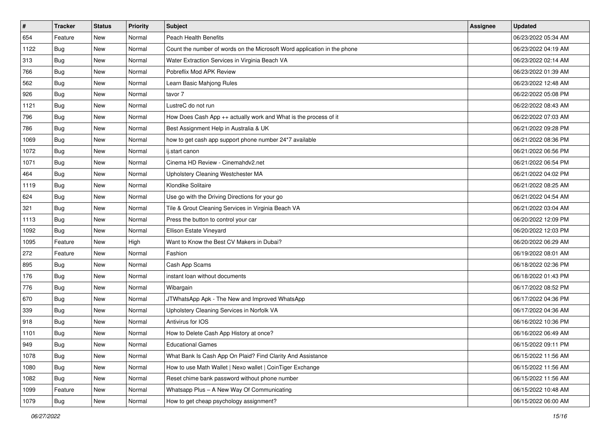| #    | <b>Tracker</b> | <b>Status</b> | Priority | Subject                                                                  | Assignee | <b>Updated</b>      |
|------|----------------|---------------|----------|--------------------------------------------------------------------------|----------|---------------------|
| 654  | Feature        | New           | Normal   | <b>Peach Health Benefits</b>                                             |          | 06/23/2022 05:34 AM |
| 1122 | Bug            | New           | Normal   | Count the number of words on the Microsoft Word application in the phone |          | 06/23/2022 04:19 AM |
| 313  | <b>Bug</b>     | New           | Normal   | Water Extraction Services in Virginia Beach VA                           |          | 06/23/2022 02:14 AM |
| 766  | <b>Bug</b>     | New           | Normal   | Pobreflix Mod APK Review                                                 |          | 06/23/2022 01:39 AM |
| 562  | Bug            | New           | Normal   | Learn Basic Mahjong Rules                                                |          | 06/23/2022 12:48 AM |
| 926  | Bug            | New           | Normal   | tavor 7                                                                  |          | 06/22/2022 05:08 PM |
| 1121 | <b>Bug</b>     | New           | Normal   | LustreC do not run                                                       |          | 06/22/2022 08:43 AM |
| 796  | Bug            | New           | Normal   | How Does Cash App ++ actually work and What is the process of it         |          | 06/22/2022 07:03 AM |
| 786  | Bug            | New           | Normal   | Best Assignment Help in Australia & UK                                   |          | 06/21/2022 09:28 PM |
| 1069 | Bug            | New           | Normal   | how to get cash app support phone number 24*7 available                  |          | 06/21/2022 08:36 PM |
| 1072 | Bug            | New           | Normal   | ij.start canon                                                           |          | 06/21/2022 06:56 PM |
| 1071 | <b>Bug</b>     | New           | Normal   | Cinema HD Review - Cinemahdy2.net                                        |          | 06/21/2022 06:54 PM |
| 464  | Bug            | <b>New</b>    | Normal   | Upholstery Cleaning Westchester MA                                       |          | 06/21/2022 04:02 PM |
| 1119 | <b>Bug</b>     | New           | Normal   | Klondike Solitaire                                                       |          | 06/21/2022 08:25 AM |
| 624  | <b>Bug</b>     | New           | Normal   | Use go with the Driving Directions for your go                           |          | 06/21/2022 04:54 AM |
| 321  | <b>Bug</b>     | New           | Normal   | Tile & Grout Cleaning Services in Virginia Beach VA                      |          | 06/21/2022 03:04 AM |
| 1113 | <b>Bug</b>     | New           | Normal   | Press the button to control your car                                     |          | 06/20/2022 12:09 PM |
| 1092 | Bug            | New           | Normal   | Ellison Estate Vineyard                                                  |          | 06/20/2022 12:03 PM |
| 1095 | Feature        | New           | High     | Want to Know the Best CV Makers in Dubai?                                |          | 06/20/2022 06:29 AM |
| 272  | Feature        | New           | Normal   | Fashion                                                                  |          | 06/19/2022 08:01 AM |
| 895  | <b>Bug</b>     | New           | Normal   | Cash App Scams                                                           |          | 06/18/2022 02:36 PM |
| 176  | <b>Bug</b>     | New           | Normal   | instant loan without documents                                           |          | 06/18/2022 01:43 PM |
| 776  | Bug            | New           | Normal   | Wibargain                                                                |          | 06/17/2022 08:52 PM |
| 670  | <b>Bug</b>     | New           | Normal   | JTWhatsApp Apk - The New and Improved WhatsApp                           |          | 06/17/2022 04:36 PM |
| 339  | <b>Bug</b>     | New           | Normal   | Upholstery Cleaning Services in Norfolk VA                               |          | 06/17/2022 04:36 AM |
| 918  | Bug            | New           | Normal   | Antivirus for IOS                                                        |          | 06/16/2022 10:36 PM |
| 1101 | <b>Bug</b>     | New           | Normal   | How to Delete Cash App History at once?                                  |          | 06/16/2022 06:49 AM |
| 949  | <b>Bug</b>     | New           | Normal   | <b>Educational Games</b>                                                 |          | 06/15/2022 09:11 PM |
| 1078 | <b>Bug</b>     | New           | Normal   | What Bank Is Cash App On Plaid? Find Clarity And Assistance              |          | 06/15/2022 11:56 AM |
| 1080 | <b>Bug</b>     | New           | Normal   | How to use Math Wallet   Nexo wallet   CoinTiger Exchange                |          | 06/15/2022 11:56 AM |
| 1082 | Bug            | New           | Normal   | Reset chime bank password without phone number                           |          | 06/15/2022 11:56 AM |
| 1099 | Feature        | New           | Normal   | Whatsapp Plus - A New Way Of Communicating                               |          | 06/15/2022 10:48 AM |
| 1079 | <b>Bug</b>     | New           | Normal   | How to get cheap psychology assignment?                                  |          | 06/15/2022 06:00 AM |